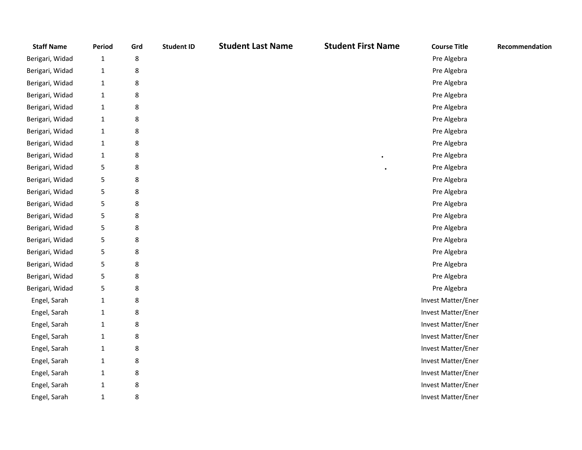| <b>Staff Name</b> | Period       | Grd | <b>Student ID</b> | <b>Student Last Name</b> | <b>Student First Name</b> | <b>Course Title</b> | Recommendation |
|-------------------|--------------|-----|-------------------|--------------------------|---------------------------|---------------------|----------------|
| Berigari, Widad   | $\mathbf{1}$ | 8   |                   |                          |                           | Pre Algebra         |                |
| Berigari, Widad   | $\mathbf{1}$ | 8   |                   |                          |                           | Pre Algebra         |                |
| Berigari, Widad   | $\mathbf{1}$ | 8   |                   |                          |                           | Pre Algebra         |                |
| Berigari, Widad   | $\mathbf{1}$ | 8   |                   |                          |                           | Pre Algebra         |                |
| Berigari, Widad   | $\mathbf{1}$ | 8   |                   |                          |                           | Pre Algebra         |                |
| Berigari, Widad   | $\mathbf{1}$ | 8   |                   |                          |                           | Pre Algebra         |                |
| Berigari, Widad   | $\mathbf{1}$ | 8   |                   |                          |                           | Pre Algebra         |                |
| Berigari, Widad   | $\mathbf{1}$ | 8   |                   |                          |                           | Pre Algebra         |                |
| Berigari, Widad   | $\mathbf{1}$ | 8   |                   |                          |                           | Pre Algebra         |                |
| Berigari, Widad   | 5            | 8   |                   |                          |                           | Pre Algebra         |                |
| Berigari, Widad   | 5            | 8   |                   |                          |                           | Pre Algebra         |                |
| Berigari, Widad   | 5            | 8   |                   |                          |                           | Pre Algebra         |                |
| Berigari, Widad   | 5            | 8   |                   |                          |                           | Pre Algebra         |                |
| Berigari, Widad   | 5            | 8   |                   |                          |                           | Pre Algebra         |                |
| Berigari, Widad   | 5            | 8   |                   |                          |                           | Pre Algebra         |                |
| Berigari, Widad   | 5            | 8   |                   |                          |                           | Pre Algebra         |                |
| Berigari, Widad   | 5            | 8   |                   |                          |                           | Pre Algebra         |                |
| Berigari, Widad   | 5            | 8   |                   |                          |                           | Pre Algebra         |                |
| Berigari, Widad   | 5            | 8   |                   |                          |                           | Pre Algebra         |                |
| Berigari, Widad   | 5            | 8   |                   |                          |                           | Pre Algebra         |                |
| Engel, Sarah      | $\mathbf{1}$ | 8   |                   |                          |                           | Invest Matter/Ener  |                |
| Engel, Sarah      | $\mathbf{1}$ | 8   |                   |                          |                           | Invest Matter/Ener  |                |
| Engel, Sarah      | $\mathbf{1}$ | 8   |                   |                          |                           | Invest Matter/Ener  |                |
| Engel, Sarah      | $\mathbf{1}$ | 8   |                   |                          |                           | Invest Matter/Ener  |                |
| Engel, Sarah      | $\mathbf{1}$ | 8   |                   |                          |                           | Invest Matter/Ener  |                |
| Engel, Sarah      | $\mathbf{1}$ | 8   |                   |                          |                           | Invest Matter/Ener  |                |
| Engel, Sarah      | $\mathbf{1}$ | 8   |                   |                          |                           | Invest Matter/Ener  |                |
| Engel, Sarah      | $\mathbf{1}$ | 8   |                   |                          |                           | Invest Matter/Ener  |                |
| Engel, Sarah      | $\mathbf{1}$ | 8   |                   |                          |                           | Invest Matter/Ener  |                |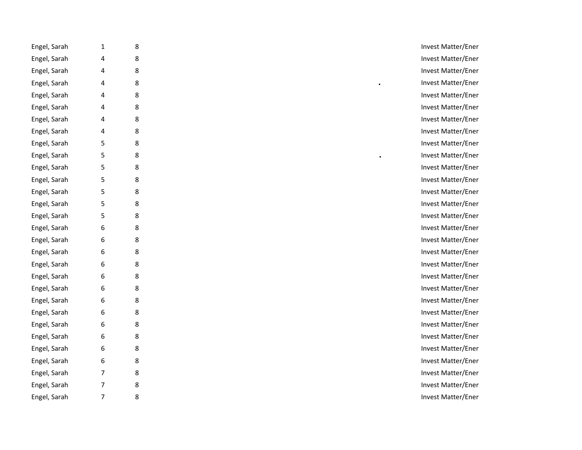| Engel, Sarah | 1 | 8 | Invest Matter/Ener |
|--------------|---|---|--------------------|
| Engel, Sarah | 4 | 8 | Invest Matter/Ener |
| Engel, Sarah | 4 | 8 | Invest Matter/Ener |
| Engel, Sarah | 4 | 8 | Invest Matter/Ener |
| Engel, Sarah | 4 | 8 | Invest Matter/Ener |
| Engel, Sarah | 4 | 8 | Invest Matter/Ener |
| Engel, Sarah | 4 | 8 | Invest Matter/Ener |
| Engel, Sarah | 4 | 8 | Invest Matter/Ener |
| Engel, Sarah | 5 | 8 | Invest Matter/Ener |
| Engel, Sarah | 5 | 8 | Invest Matter/Ener |
| Engel, Sarah | 5 | 8 | Invest Matter/Ener |
| Engel, Sarah | 5 | 8 | Invest Matter/Ener |
| Engel, Sarah | 5 | 8 | Invest Matter/Ener |
| Engel, Sarah | 5 | 8 | Invest Matter/Ener |
| Engel, Sarah | 5 | 8 | Invest Matter/Ener |
| Engel, Sarah | 6 | 8 | Invest Matter/Ener |
| Engel, Sarah | 6 | 8 | Invest Matter/Ener |
| Engel, Sarah | 6 | 8 | Invest Matter/Ener |
| Engel, Sarah | 6 | 8 | Invest Matter/Ener |
| Engel, Sarah | 6 | 8 | Invest Matter/Ener |
| Engel, Sarah | 6 | 8 | Invest Matter/Ener |
| Engel, Sarah | 6 | 8 | Invest Matter/Ener |
| Engel, Sarah | 6 | 8 | Invest Matter/Ener |
| Engel, Sarah | 6 | 8 | Invest Matter/Ener |
| Engel, Sarah | 6 | 8 | Invest Matter/Ener |
| Engel, Sarah | 6 | 8 | Invest Matter/Ener |
| Engel, Sarah | 6 | 8 | Invest Matter/Ener |
| Engel, Sarah | 7 | 8 | Invest Matter/Ener |
| Engel, Sarah | 7 | 8 | Invest Matter/Ener |
| Engel, Sarah | 7 | 8 | Invest Matter/Ener |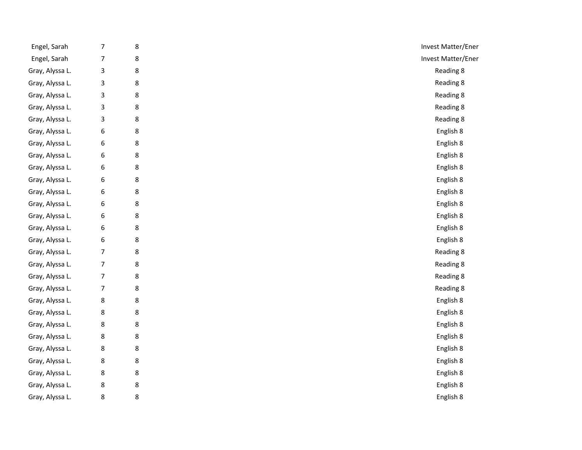| Engel, Sarah    | $\boldsymbol{7}$ | 8       | Invest Matter/Ener |
|-----------------|------------------|---------|--------------------|
| Engel, Sarah    | $\boldsymbol{7}$ | $\bf 8$ | Invest Matter/Ener |
| Gray, Alyssa L. | 3                | 8       | Reading 8          |
| Gray, Alyssa L. | 3                | $\bf 8$ | Reading 8          |
| Gray, Alyssa L. | 3                | 8       | Reading 8          |
| Gray, Alyssa L. | 3                | 8       | Reading 8          |
| Gray, Alyssa L. | 3                | 8       | Reading 8          |
| Gray, Alyssa L. | $\boldsymbol{6}$ | 8       | English 8          |
| Gray, Alyssa L. | $\boldsymbol{6}$ | 8       | English 8          |
| Gray, Alyssa L. | $\boldsymbol{6}$ | 8       | English 8          |
| Gray, Alyssa L. | 6                | 8       | English 8          |
| Gray, Alyssa L. | 6                | 8       | English 8          |
| Gray, Alyssa L. | 6                | 8       | English 8          |
| Gray, Alyssa L. | 6                | 8       | English 8          |
| Gray, Alyssa L. | 6                | 8       | English 8          |
| Gray, Alyssa L. | 6                | 8       | English 8          |
| Gray, Alyssa L. | $\boldsymbol{6}$ | 8       | English 8          |
| Gray, Alyssa L. | $\overline{7}$   | 8       | Reading 8          |
| Gray, Alyssa L. | $\overline{7}$   | 8       | Reading 8          |
| Gray, Alyssa L. | $\boldsymbol{7}$ | 8       | Reading 8          |
| Gray, Alyssa L. | $\overline{7}$   | 8       | Reading 8          |
| Gray, Alyssa L. | 8                | 8       | English 8          |
| Gray, Alyssa L. | 8                | 8       | English 8          |
| Gray, Alyssa L. | 8                | 8       | English 8          |
| Gray, Alyssa L. | 8                | $\bf 8$ | English 8          |
| Gray, Alyssa L. | 8                | $\bf 8$ | English 8          |
| Gray, Alyssa L. | 8                | 8       | English 8          |
| Gray, Alyssa L. | 8                | $\bf 8$ | English 8          |
| Gray, Alyssa L. | 8                | $\bf 8$ | English 8          |
| Gray, Alyssa L. | $\,8\,$          | 8       | English 8          |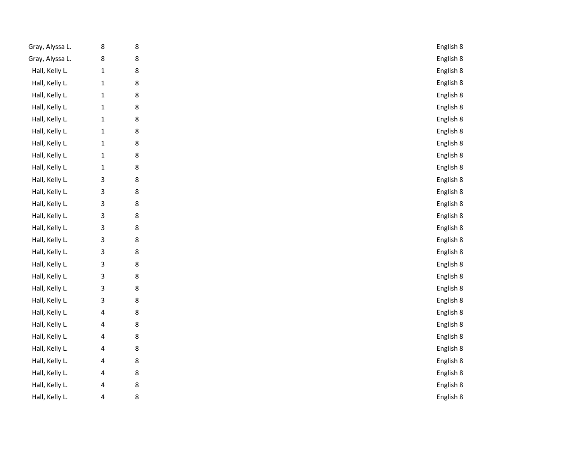| Gray, Alyssa L. | 8            | 8 | English 8 |
|-----------------|--------------|---|-----------|
| Gray, Alyssa L. | 8            | 8 | English 8 |
| Hall, Kelly L.  | $\mathbf{1}$ | 8 | English 8 |
| Hall, Kelly L.  | $\mathbf{1}$ | 8 | English 8 |
| Hall, Kelly L.  | $\mathbf{1}$ | 8 | English 8 |
| Hall, Kelly L.  | $\mathbf{1}$ | 8 | English 8 |
| Hall, Kelly L.  | $\mathbf{1}$ | 8 | English 8 |
| Hall, Kelly L.  | $\mathbf{1}$ | 8 | English 8 |
| Hall, Kelly L.  | $\mathbf{1}$ | 8 | English 8 |
| Hall, Kelly L.  | $\mathbf{1}$ | 8 | English 8 |
| Hall, Kelly L.  | $\mathbf 1$  | 8 | English 8 |
| Hall, Kelly L.  | 3            | 8 | English 8 |
| Hall, Kelly L.  | 3            | 8 | English 8 |
| Hall, Kelly L.  | 3            | 8 | English 8 |
| Hall, Kelly L.  | 3            | 8 | English 8 |
| Hall, Kelly L.  | 3            | 8 | English 8 |
| Hall, Kelly L.  | 3            | 8 | English 8 |
| Hall, Kelly L.  | 3            | 8 | English 8 |
| Hall, Kelly L.  | 3            | 8 | English 8 |
| Hall, Kelly L.  | 3            | 8 | English 8 |
| Hall, Kelly L.  | 3            | 8 | English 8 |
| Hall, Kelly L.  | 3            | 8 | English 8 |
| Hall, Kelly L.  | 4            | 8 | English 8 |
| Hall, Kelly L.  | 4            | 8 | English 8 |
| Hall, Kelly L.  | 4            | 8 | English 8 |
| Hall, Kelly L.  | 4            | 8 | English 8 |
| Hall, Kelly L.  | 4            | 8 | English 8 |
| Hall, Kelly L.  | 4            | 8 | English 8 |
| Hall, Kelly L.  | 4            | 8 | English 8 |
| Hall, Kelly L.  | 4            | 8 | English 8 |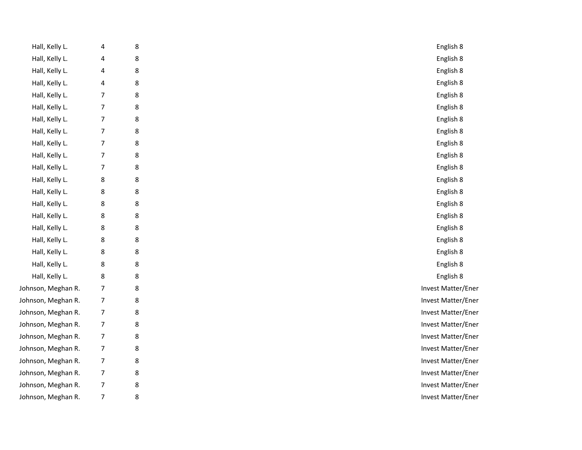| Hall, Kelly L.     | 4              | 8       | English 8          |
|--------------------|----------------|---------|--------------------|
| Hall, Kelly L.     | 4              | 8       | English 8          |
| Hall, Kelly L.     | 4              | 8       | English 8          |
| Hall, Kelly L.     | 4              | $\bf 8$ | English 8          |
| Hall, Kelly L.     | $\overline{7}$ | $\bf 8$ | English 8          |
| Hall, Kelly L.     | $\overline{7}$ | 8       | English 8          |
| Hall, Kelly L.     | $\overline{7}$ | $\bf 8$ | English 8          |
| Hall, Kelly L.     | $\overline{7}$ | 8       | English 8          |
| Hall, Kelly L.     | $\overline{7}$ | $\bf 8$ | English 8          |
| Hall, Kelly L.     | $\overline{7}$ | 8       | English 8          |
| Hall, Kelly L.     | $\overline{7}$ | $\bf 8$ | English 8          |
| Hall, Kelly L.     | 8              | 8       | English 8          |
| Hall, Kelly L.     | 8              | 8       | English 8          |
| Hall, Kelly L.     | 8              | 8       | English 8          |
| Hall, Kelly L.     | 8              | $\bf 8$ | English 8          |
| Hall, Kelly L.     | 8              | $\bf 8$ | English 8          |
| Hall, Kelly L.     | 8              | 8       | English 8          |
| Hall, Kelly L.     | 8              | $\bf 8$ | English 8          |
| Hall, Kelly L.     | 8              | 8       | English 8          |
| Hall, Kelly L.     | 8              | 8       | English 8          |
| Johnson, Meghan R. | $\overline{7}$ | 8       | Invest Matter/Ener |
| Johnson, Meghan R. | $\overline{7}$ | 8       | Invest Matter/Ener |
| Johnson, Meghan R. | $\overline{7}$ | 8       | Invest Matter/Ener |
| Johnson, Meghan R. | $\overline{7}$ | 8       | Invest Matter/Ener |
| Johnson, Meghan R. | 7              | 8       | Invest Matter/Ener |
| Johnson, Meghan R. | $\overline{7}$ | 8       | Invest Matter/Ener |
| Johnson, Meghan R. | 7              | 8       | Invest Matter/Ener |
| Johnson, Meghan R. | 7              | 8       | Invest Matter/Ener |
| Johnson, Meghan R. | 7              | 8       | Invest Matter/Ener |
| Johnson, Meghan R. | $\overline{7}$ | 8       | Invest Matter/Ener |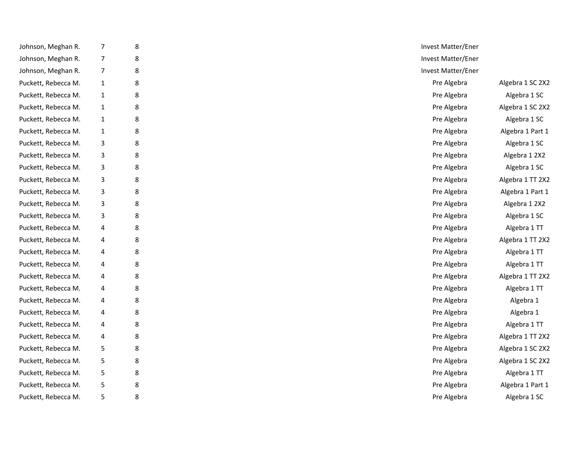| Johnson, Meghan R.  | $\overline{7}$ | 8 | Invest Matter/Ener |                  |
|---------------------|----------------|---|--------------------|------------------|
| Johnson, Meghan R.  | $\overline{7}$ | 8 | Invest Matter/Ener |                  |
| Johnson, Meghan R.  | 7              | 8 | Invest Matter/Ener |                  |
| Puckett, Rebecca M. | $\mathbf{1}$   | 8 | Pre Algebra        | Algebra 1 SC 2X2 |
| Puckett, Rebecca M. | $\mathbf{1}$   | 8 | Pre Algebra        | Algebra 1 SC     |
| Puckett, Rebecca M. | $\mathbf{1}$   | 8 | Pre Algebra        | Algebra 1 SC 2X2 |
| Puckett, Rebecca M. | $\mathbf{1}$   | 8 | Pre Algebra        | Algebra 1 SC     |
| Puckett, Rebecca M. | 1              | 8 | Pre Algebra        | Algebra 1 Part 1 |
| Puckett, Rebecca M. | 3              | 8 | Pre Algebra        | Algebra 1 SC     |
| Puckett, Rebecca M. | 3              | 8 | Pre Algebra        | Algebra 1 2X2    |
| Puckett, Rebecca M. | 3              | 8 | Pre Algebra        | Algebra 1 SC     |
| Puckett, Rebecca M. | 3              | 8 | Pre Algebra        | Algebra 1 TT 2X2 |
| Puckett, Rebecca M. | 3              | 8 | Pre Algebra        | Algebra 1 Part 1 |
| Puckett, Rebecca M. | 3              | 8 | Pre Algebra        | Algebra 1 2X2    |
| Puckett, Rebecca M. | 3              | 8 | Pre Algebra        | Algebra 1 SC     |
| Puckett, Rebecca M. | 4              | 8 | Pre Algebra        | Algebra 1 TT     |
| Puckett, Rebecca M. | 4              | 8 | Pre Algebra        | Algebra 1 TT 2X2 |
| Puckett, Rebecca M. | 4              | 8 | Pre Algebra        | Algebra 1 TT     |
| Puckett, Rebecca M. | 4              | 8 | Pre Algebra        | Algebra 1 TT     |
| Puckett, Rebecca M. | 4              | 8 | Pre Algebra        | Algebra 1 TT 2X2 |
| Puckett, Rebecca M. | 4              | 8 | Pre Algebra        | Algebra 1 TT     |
| Puckett, Rebecca M. | 4              | 8 | Pre Algebra        | Algebra 1        |
| Puckett, Rebecca M. | 4              | 8 | Pre Algebra        | Algebra 1        |
| Puckett, Rebecca M. | 4              | 8 | Pre Algebra        | Algebra 1 TT     |
| Puckett, Rebecca M. | 4              | 8 | Pre Algebra        | Algebra 1 TT 2X2 |
| Puckett, Rebecca M. | 5              | 8 | Pre Algebra        | Algebra 1 SC 2X2 |
| Puckett, Rebecca M. | 5              | 8 | Pre Algebra        | Algebra 1 SC 2X2 |
| Puckett, Rebecca M. | 5              | 8 | Pre Algebra        | Algebra 1 TT     |
| Puckett, Rebecca M. | 5              | 8 | Pre Algebra        | Algebra 1 Part 1 |
| Puckett, Rebecca M. | 5              | 8 | Pre Algebra        | Algebra 1 SC     |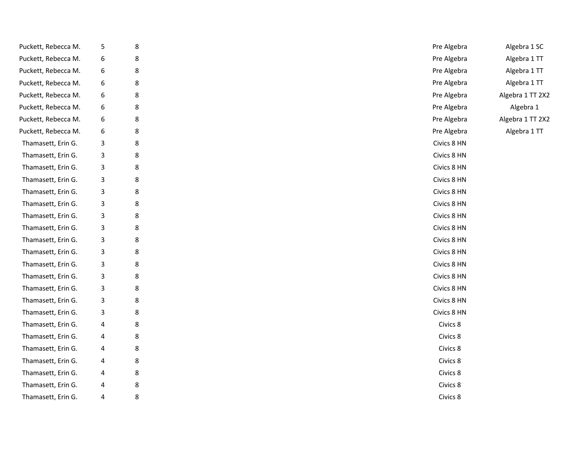| Puckett, Rebecca M. | 5 | 8 | Pre Algebra | Algebra 1 SC     |
|---------------------|---|---|-------------|------------------|
| Puckett, Rebecca M. | 6 | 8 | Pre Algebra | Algebra 1 TT     |
| Puckett, Rebecca M. | 6 | 8 | Pre Algebra | Algebra 1 TT     |
| Puckett, Rebecca M. | 6 | 8 | Pre Algebra | Algebra 1 TT     |
| Puckett, Rebecca M. | 6 | 8 | Pre Algebra | Algebra 1 TT 2X2 |
| Puckett, Rebecca M. | 6 | 8 | Pre Algebra | Algebra 1        |
| Puckett, Rebecca M. | 6 | 8 | Pre Algebra | Algebra 1 TT 2X2 |
| Puckett, Rebecca M. | 6 | 8 | Pre Algebra | Algebra 1 TT     |
| Thamasett, Erin G.  | 3 | 8 | Civics 8 HN |                  |
| Thamasett, Erin G.  | 3 | 8 | Civics 8 HN |                  |
| Thamasett, Erin G.  | 3 | 8 | Civics 8 HN |                  |
| Thamasett, Erin G.  | 3 | 8 | Civics 8 HN |                  |
| Thamasett, Erin G.  | 3 | 8 | Civics 8 HN |                  |
| Thamasett, Erin G.  | 3 | 8 | Civics 8 HN |                  |
| Thamasett, Erin G.  | 3 | 8 | Civics 8 HN |                  |
| Thamasett, Erin G.  | 3 | 8 | Civics 8 HN |                  |
| Thamasett, Erin G.  | 3 | 8 | Civics 8 HN |                  |
| Thamasett, Erin G.  | 3 | 8 | Civics 8 HN |                  |
| Thamasett, Erin G.  | 3 | 8 | Civics 8 HN |                  |
| Thamasett, Erin G.  | 3 | 8 | Civics 8 HN |                  |
| Thamasett, Erin G.  | 3 | 8 | Civics 8 HN |                  |
| Thamasett, Erin G.  | 3 | 8 | Civics 8 HN |                  |
| Thamasett, Erin G.  | 3 | 8 | Civics 8 HN |                  |
| Thamasett, Erin G.  | 4 | 8 | Civics 8    |                  |
| Thamasett, Erin G.  | 4 | 8 | Civics 8    |                  |
| Thamasett, Erin G.  | 4 | 8 | Civics 8    |                  |
| Thamasett, Erin G.  | 4 | 8 | Civics 8    |                  |
| Thamasett, Erin G.  | 4 | 8 | Civics 8    |                  |
| Thamasett, Erin G.  | 4 | 8 | Civics 8    |                  |
| Thamasett, Erin G.  | 4 | 8 | Civics 8    |                  |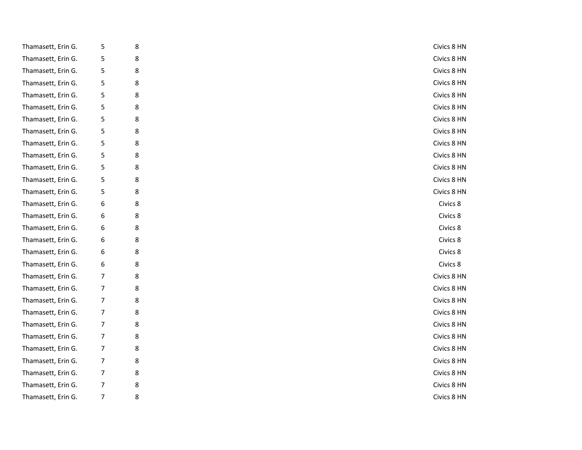| Thamasett, Erin G. | 5 | 8 | Civics 8 HN |
|--------------------|---|---|-------------|
| Thamasett, Erin G. | 5 | 8 | Civics 8 HN |
| Thamasett, Erin G. | 5 | 8 | Civics 8 HN |
| Thamasett, Erin G. | 5 | 8 | Civics 8 HN |
| Thamasett, Erin G. | 5 | 8 | Civics 8 HN |
| Thamasett, Erin G. | 5 | 8 | Civics 8 HN |
| Thamasett, Erin G. | 5 | 8 | Civics 8 HN |
| Thamasett, Erin G. | 5 | 8 | Civics 8 HN |
| Thamasett, Erin G. | 5 | 8 | Civics 8 HN |
| Thamasett, Erin G. | 5 | 8 | Civics 8 HN |
| Thamasett, Erin G. | 5 | 8 | Civics 8 HN |
| Thamasett, Erin G. | 5 | 8 | Civics 8 HN |
| Thamasett, Erin G. | 5 | 8 | Civics 8 HN |
| Thamasett, Erin G. | 6 | 8 | Civics 8    |
| Thamasett, Erin G. | 6 | 8 | Civics 8    |
| Thamasett, Erin G. | 6 | 8 | Civics 8    |
| Thamasett, Erin G. | 6 | 8 | Civics 8    |
| Thamasett, Erin G. | 6 | 8 | Civics 8    |
| Thamasett, Erin G. | 6 | 8 | Civics 8    |
| Thamasett, Erin G. | 7 | 8 | Civics 8 HN |
| Thamasett, Erin G. | 7 | 8 | Civics 8 HN |
| Thamasett, Erin G. | 7 | 8 | Civics 8 HN |
| Thamasett, Erin G. | 7 | 8 | Civics 8 HN |
| Thamasett, Erin G. | 7 | 8 | Civics 8 HN |
| Thamasett, Erin G. | 7 | 8 | Civics 8 HN |
| Thamasett, Erin G. | 7 | 8 | Civics 8 HN |
| Thamasett, Erin G. | 7 | 8 | Civics 8 HN |
| Thamasett, Erin G. | 7 | 8 | Civics 8 HN |
| Thamasett, Erin G. | 7 | 8 | Civics 8 HN |
| Thamasett, Erin G. | 7 | 8 | Civics 8 HN |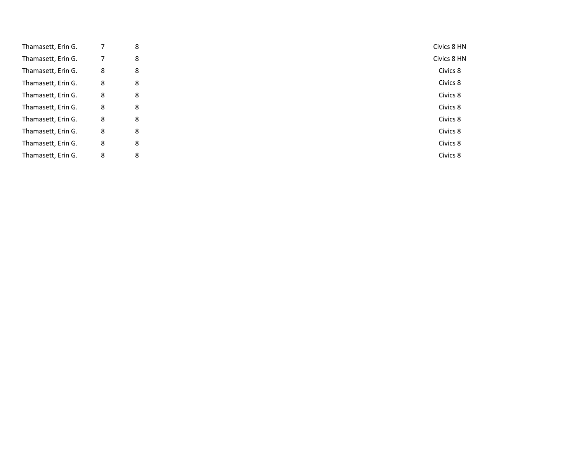| Thamasett, Erin G. |   | 8 | Civics 8 HN |
|--------------------|---|---|-------------|
| Thamasett, Erin G. |   | 8 | Civics 8 HN |
| Thamasett, Erin G. | 8 | 8 | Civics 8    |
| Thamasett, Erin G. | 8 | 8 | Civics 8    |
| Thamasett, Erin G. | 8 | 8 | Civics 8    |
| Thamasett, Erin G. | 8 | 8 | Civics 8    |
| Thamasett, Erin G. | 8 | 8 | Civics 8    |
| Thamasett, Erin G. | 8 | 8 | Civics 8    |
| Thamasett, Erin G. | 8 | 8 | Civics 8    |
| Thamasett, Erin G. | 8 | 8 | Civics 8    |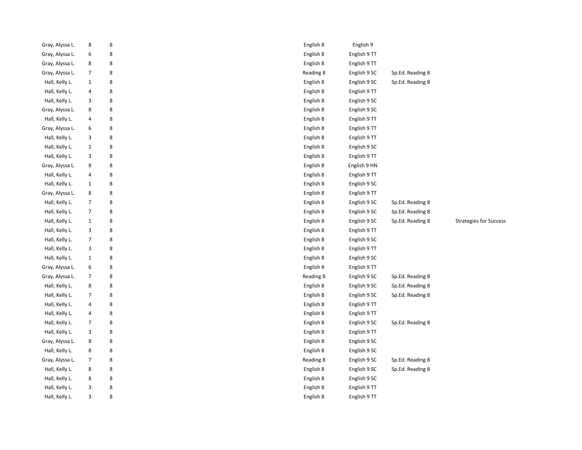| Gray, Alyssa L. | 8              | 8           | English 8 | English 9    |                  |                               |
|-----------------|----------------|-------------|-----------|--------------|------------------|-------------------------------|
| Gray, Alyssa L. | 6              | 8           | English 8 | English 9 TT |                  |                               |
| Gray, Alyssa L. | 8              | 8           | English 8 | English 9 TT |                  |                               |
| Gray, Alyssa L. | $\overline{7}$ | 8           | Reading 8 | English 9 SC | Sp.Ed. Reading 8 |                               |
| Hall, Kelly L.  | $\mathbf{1}$   | 8           | English 8 | English 9 SC | Sp.Ed. Reading 8 |                               |
| Hall, Kelly L.  | 4              | 8           | English 8 | English 9 TT |                  |                               |
| Hall, Kelly L.  | 3              | 8           | English 8 | English 9 SC |                  |                               |
| Gray, Alyssa L. | 8              | 8           | English 8 | English 9 SC |                  |                               |
| Hall, Kelly L.  | 4              | 8           | English 8 | English 9 TT |                  |                               |
| Gray, Alyssa L. | 6              | 8           | English 8 | English 9 TT |                  |                               |
| Hall, Kelly L.  | 3              | 8           | English 8 | English 9 TT |                  |                               |
| Hall, Kelly L.  | $\mathbf{1}$   | 8           | English 8 | English 9 SC |                  |                               |
| Hall, Kelly L.  | 3              | 8           | English 8 | English 9 TT |                  |                               |
| Gray, Alyssa L. | 8              | 8           | English 8 | English 9 HN |                  |                               |
| Hall, Kelly L.  | $\overline{4}$ | 8           | English 8 | English 9 TT |                  |                               |
| Hall, Kelly L.  | $\mathbf{1}$   | 8           | English 8 | English 9 SC |                  |                               |
| Gray, Alyssa L. | 8              | 8           | English 8 | English 9 TT |                  |                               |
| Hall, Kelly L.  | $\overline{7}$ | 8           | English 8 | English 9 SC | Sp.Ed. Reading 8 |                               |
| Hall, Kelly L.  | $\overline{7}$ | 8           | English 8 | English 9 SC | Sp.Ed. Reading 8 |                               |
| Hall, Kelly L.  | $\mathbf{1}$   | 8           | English 8 | English 9 SC | Sp.Ed. Reading 8 | <b>Strategies for Success</b> |
| Hall, Kelly L.  | 3              | 8           | English 8 | English 9 TT |                  |                               |
| Hall, Kelly L.  | $\overline{7}$ | 8           | English 8 | English 9 SC |                  |                               |
| Hall, Kelly L.  | 3              | 8           | English 8 | English 9 TT |                  |                               |
| Hall, Kelly L.  | $\mathbf{1}$   | 8           | English 8 | English 9 SC |                  |                               |
| Gray, Alyssa L. | 6              | $\,$ 8 $\,$ | English 8 | English 9 TT |                  |                               |
| Gray, Alyssa L. |                | 8           | Reading 8 | English 9 SC | Sp.Ed. Reading 8 |                               |
| Hall, Kelly L.  | 8              | 8           | English 8 | English 9 SC | Sp.Ed. Reading 8 |                               |
| Hall, Kelly L.  | $\overline{7}$ | 8           | English 8 | English 9 SC | Sp.Ed. Reading 8 |                               |
| Hall, Kelly L.  | 4              | 8           | English 8 | English 9 TT |                  |                               |
| Hall, Kelly L.  | 4              | 8           | English 8 | English 9 TT |                  |                               |
| Hall, Kelly L.  | $\overline{7}$ | 8           | English 8 | English 9 SC | Sp.Ed. Reading 8 |                               |
| Hall, Kelly L.  | 3              | 8           | English 8 | English 9 TT |                  |                               |
| Gray, Alyssa L. | 8              | 8           | English 8 | English 9 SC |                  |                               |
| Hall, Kelly L.  | 8              | 8           | English 8 | English 9 SC |                  |                               |
| Gray, Alyssa L. | $\overline{7}$ | 8           | Reading 8 | English 9 SC | Sp.Ed. Reading 8 |                               |
| Hall, Kelly L.  | 8              | 8           | English 8 | English 9 SC | Sp.Ed. Reading 8 |                               |
| Hall, Kelly L.  | 8              | 8           | English 8 | English 9 SC |                  |                               |
| Hall, Kelly L.  | 3              | 8           | English 8 | English 9 TT |                  |                               |
| Hall, Kelly L.  | 3              | 8           | English 8 | English 9 TT |                  |                               |
|                 |                |             |           |              |                  |                               |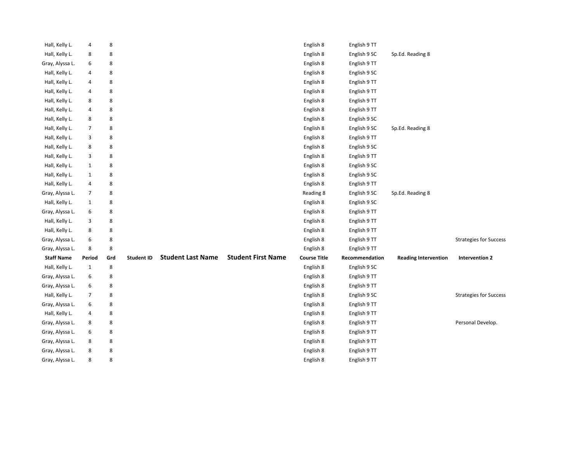| Hall, Kelly L.    | 4              | 8   |                   |                          |                           | English 8           | English 9 TT   |                             |                               |
|-------------------|----------------|-----|-------------------|--------------------------|---------------------------|---------------------|----------------|-----------------------------|-------------------------------|
| Hall, Kelly L.    | 8              | 8   |                   |                          |                           | English 8           | English 9 SC   | Sp.Ed. Reading 8            |                               |
| Gray, Alyssa L.   | 6              | 8   |                   |                          |                           | English 8           | English 9 TT   |                             |                               |
| Hall, Kelly L.    | 4              | 8   |                   |                          |                           | English 8           | English 9 SC   |                             |                               |
| Hall, Kelly L.    | 4              | 8   |                   |                          |                           | English 8           | English 9 TT   |                             |                               |
| Hall, Kelly L.    | 4              | 8   |                   |                          |                           | English 8           | English 9 TT   |                             |                               |
| Hall, Kelly L.    | 8              | 8   |                   |                          |                           | English 8           | English 9 TT   |                             |                               |
| Hall, Kelly L.    | 4              | 8   |                   |                          |                           | English 8           | English 9 TT   |                             |                               |
| Hall, Kelly L.    | 8              | 8   |                   |                          |                           | English 8           | English 9 SC   |                             |                               |
| Hall, Kelly L.    | $\overline{7}$ | 8   |                   |                          |                           | English 8           | English 9 SC   | Sp.Ed. Reading 8            |                               |
| Hall, Kelly L.    | 3              | 8   |                   |                          |                           | English 8           | English 9 TT   |                             |                               |
| Hall, Kelly L.    | 8              | 8   |                   |                          |                           | English 8           | English 9 SC   |                             |                               |
| Hall, Kelly L.    | 3              | 8   |                   |                          |                           | English 8           | English 9 TT   |                             |                               |
| Hall, Kelly L.    | $\mathbf{1}$   | 8   |                   |                          |                           | English 8           | English 9 SC   |                             |                               |
| Hall, Kelly L.    | $\mathbf{1}$   | 8   |                   |                          |                           | English 8           | English 9 SC   |                             |                               |
| Hall, Kelly L.    | 4              | 8   |                   |                          |                           | English 8           | English 9 TT   |                             |                               |
| Gray, Alyssa L.   | $\overline{7}$ | 8   |                   |                          |                           | Reading 8           | English 9 SC   | Sp.Ed. Reading 8            |                               |
| Hall, Kelly L.    | $\mathbf{1}$   | 8   |                   |                          |                           | English 8           | English 9 SC   |                             |                               |
| Gray, Alyssa L.   | 6              | 8   |                   |                          |                           | English 8           | English 9 TT   |                             |                               |
| Hall, Kelly L.    | 3              | 8   |                   |                          |                           | English 8           | English 9 TT   |                             |                               |
| Hall, Kelly L.    | 8              | 8   |                   |                          |                           | English 8           | English 9 TT   |                             |                               |
| Gray, Alyssa L.   | 6              | 8   |                   |                          |                           | English 8           | English 9 TT   |                             | <b>Strategies for Success</b> |
| Gray, Alyssa L.   | 8              | 8   |                   |                          |                           | English 8           | English 9 TT   |                             |                               |
| <b>Staff Name</b> | <b>Period</b>  | Grd | <b>Student ID</b> | <b>Student Last Name</b> | <b>Student First Name</b> | <b>Course Title</b> | Recommendation | <b>Reading Intervention</b> | <b>Intervention 2</b>         |
| Hall, Kelly L.    | $\mathbf{1}$   | 8   |                   |                          |                           | English 8           | English 9 SC   |                             |                               |
| Gray, Alyssa L.   | 6              | 8   |                   |                          |                           | English 8           | English 9 TT   |                             |                               |
| Gray, Alyssa L.   | 6              | 8   |                   |                          |                           | English 8           | English 9 TT   |                             |                               |
| Hall, Kelly L.    | $\overline{7}$ | 8   |                   |                          |                           | English 8           | English 9 SC   |                             | <b>Strategies for Success</b> |
| Gray, Alyssa L.   | 6              | 8   |                   |                          |                           | English 8           | English 9 TT   |                             |                               |
| Hall, Kelly L.    | 4              | 8   |                   |                          |                           | English 8           | English 9 TT   |                             |                               |
| Gray, Alyssa L.   | 8              | 8   |                   |                          |                           | English 8           | English 9 TT   |                             | Personal Develop.             |
| Gray, Alyssa L.   | 6              | 8   |                   |                          |                           | English 8           | English 9 TT   |                             |                               |
| Gray, Alyssa L.   | 8              | 8   |                   |                          |                           | English 8           | English 9 TT   |                             |                               |
| Gray, Alyssa L.   | 8              | 8   |                   |                          |                           | English 8           | English 9 TT   |                             |                               |
| Gray, Alyssa L.   | 8              | 8   |                   |                          |                           | English 8           | English 9 TT   |                             |                               |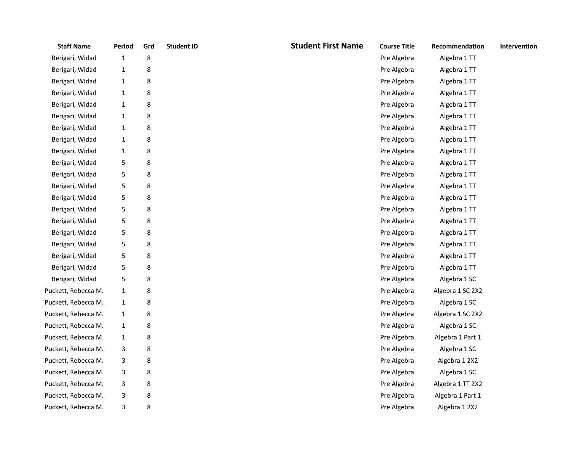| <b>Staff Name</b>   | Period       | Grd | <b>Student ID</b> | <b>Student First Name</b> | <b>Course Title</b> | Recommendation   | Intervention |
|---------------------|--------------|-----|-------------------|---------------------------|---------------------|------------------|--------------|
| Berigari, Widad     | $\mathbf{1}$ | 8   |                   |                           | Pre Algebra         | Algebra 1 TT     |              |
| Berigari, Widad     | $\mathbf{1}$ | 8   |                   |                           | Pre Algebra         | Algebra 1 TT     |              |
| Berigari, Widad     | $\mathbf{1}$ | 8   |                   |                           | Pre Algebra         | Algebra 1 TT     |              |
| Berigari, Widad     | $\mathbf{1}$ | 8   |                   |                           | Pre Algebra         | Algebra 1 TT     |              |
| Berigari, Widad     | $\mathbf{1}$ | 8   |                   |                           | Pre Algebra         | Algebra 1 TT     |              |
| Berigari, Widad     | $\mathbf{1}$ | 8   |                   |                           | Pre Algebra         | Algebra 1 TT     |              |
| Berigari, Widad     | $\mathbf{1}$ | 8   |                   |                           | Pre Algebra         | Algebra 1 TT     |              |
| Berigari, Widad     | $\mathbf{1}$ | 8   |                   |                           | Pre Algebra         | Algebra 1 TT     |              |
| Berigari, Widad     | $\mathbf{1}$ | 8   |                   |                           | Pre Algebra         | Algebra 1 TT     |              |
| Berigari, Widad     | 5            | 8   |                   |                           | Pre Algebra         | Algebra 1 TT     |              |
| Berigari, Widad     | 5            | 8   |                   |                           | Pre Algebra         | Algebra 1 TT     |              |
| Berigari, Widad     | 5            | 8   |                   |                           | Pre Algebra         | Algebra 1 TT     |              |
| Berigari, Widad     | 5            | 8   |                   |                           | Pre Algebra         | Algebra 1 TT     |              |
| Berigari, Widad     | 5            | 8   |                   |                           | Pre Algebra         | Algebra 1 TT     |              |
| Berigari, Widad     | 5            | 8   |                   |                           | Pre Algebra         | Algebra 1 TT     |              |
| Berigari, Widad     | 5            | 8   |                   |                           | Pre Algebra         | Algebra 1 TT     |              |
| Berigari, Widad     | 5            | 8   |                   |                           | Pre Algebra         | Algebra 1 TT     |              |
| Berigari, Widad     | 5            | 8   |                   |                           | Pre Algebra         | Algebra 1 TT     |              |
| Berigari, Widad     | 5            | 8   |                   |                           | Pre Algebra         | Algebra 1 TT     |              |
| Berigari, Widad     | 5            | 8   |                   |                           | Pre Algebra         | Algebra 1 SC     |              |
| Puckett, Rebecca M. | $\mathbf{1}$ | 8   |                   |                           | Pre Algebra         | Algebra 1 SC 2X2 |              |
| Puckett, Rebecca M. | $\mathbf{1}$ | 8   |                   |                           | Pre Algebra         | Algebra 1 SC     |              |
| Puckett, Rebecca M. | $\mathbf{1}$ | 8   |                   |                           | Pre Algebra         | Algebra 1 SC 2X2 |              |
| Puckett, Rebecca M. | $\mathbf{1}$ | 8   |                   |                           | Pre Algebra         | Algebra 1 SC     |              |
| Puckett, Rebecca M. | $\mathbf{1}$ | 8   |                   |                           | Pre Algebra         | Algebra 1 Part 1 |              |
| Puckett, Rebecca M. | 3            | 8   |                   |                           | Pre Algebra         | Algebra 1 SC     |              |
| Puckett, Rebecca M. | 3            | 8   |                   |                           | Pre Algebra         | Algebra 1 2X2    |              |
| Puckett, Rebecca M. | 3            | 8   |                   |                           | Pre Algebra         | Algebra 1 SC     |              |
| Puckett, Rebecca M. | 3            | 8   |                   |                           | Pre Algebra         | Algebra 1 TT 2X2 |              |
| Puckett, Rebecca M. | 3            | 8   |                   |                           | Pre Algebra         | Algebra 1 Part 1 |              |
| Puckett, Rebecca M. | 3            | 8   |                   |                           | Pre Algebra         | Algebra 1 2X2    |              |
|                     |              |     |                   |                           |                     |                  |              |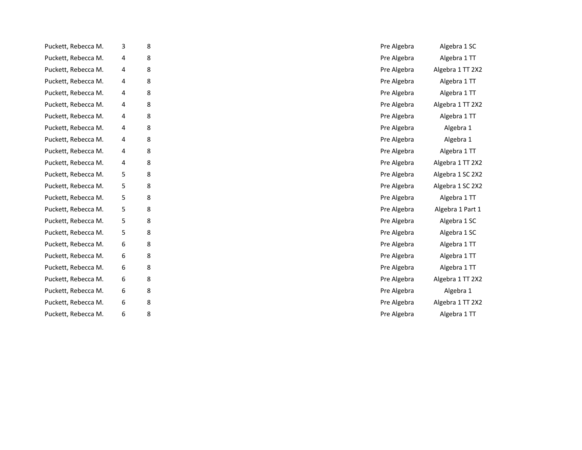| Puckett, Rebecca M. | 3 | 8 |  | Pre Algebra | Algebra 1 SC     |
|---------------------|---|---|--|-------------|------------------|
| Puckett, Rebecca M. | 4 | 8 |  | Pre Algebra | Algebra 1 TT     |
| Puckett, Rebecca M. | 4 | 8 |  | Pre Algebra | Algebra 1 TT 2X2 |
| Puckett, Rebecca M. | 4 | 8 |  | Pre Algebra | Algebra 1 TT     |
| Puckett, Rebecca M. | 4 | 8 |  | Pre Algebra | Algebra 1 TT     |
| Puckett, Rebecca M. | 4 | 8 |  | Pre Algebra | Algebra 1 TT 2X2 |
| Puckett, Rebecca M. | 4 | 8 |  | Pre Algebra | Algebra 1 TT     |
| Puckett, Rebecca M. | 4 | 8 |  | Pre Algebra | Algebra 1        |
| Puckett, Rebecca M. | 4 | 8 |  | Pre Algebra | Algebra 1        |
| Puckett, Rebecca M. | 4 | 8 |  | Pre Algebra | Algebra 1 TT     |
| Puckett, Rebecca M. | 4 | 8 |  | Pre Algebra | Algebra 1 TT 2X2 |
| Puckett, Rebecca M. | 5 | 8 |  | Pre Algebra | Algebra 1 SC 2X2 |
| Puckett, Rebecca M. | 5 | 8 |  | Pre Algebra | Algebra 1 SC 2X2 |
| Puckett, Rebecca M. | 5 | 8 |  | Pre Algebra | Algebra 1 TT     |
| Puckett, Rebecca M. | 5 | 8 |  | Pre Algebra | Algebra 1 Part 1 |
| Puckett, Rebecca M. | 5 | 8 |  | Pre Algebra | Algebra 1 SC     |
| Puckett, Rebecca M. | 5 | 8 |  | Pre Algebra | Algebra 1 SC     |
| Puckett, Rebecca M. | 6 | 8 |  | Pre Algebra | Algebra 1 TT     |
| Puckett, Rebecca M. | 6 | 8 |  | Pre Algebra | Algebra 1 TT     |
| Puckett, Rebecca M. | 6 | 8 |  | Pre Algebra | Algebra 1 TT     |
| Puckett, Rebecca M. | 6 | 8 |  | Pre Algebra | Algebra 1 TT 2X2 |
| Puckett, Rebecca M. | 6 | 8 |  | Pre Algebra | Algebra 1        |
| Puckett, Rebecca M. | 6 | 8 |  | Pre Algebra | Algebra 1 TT 2X2 |
| Puckett, Rebecca M. | 6 | 8 |  | Pre Algebra | Algebra 1 TT     |
|                     |   |   |  |             |                  |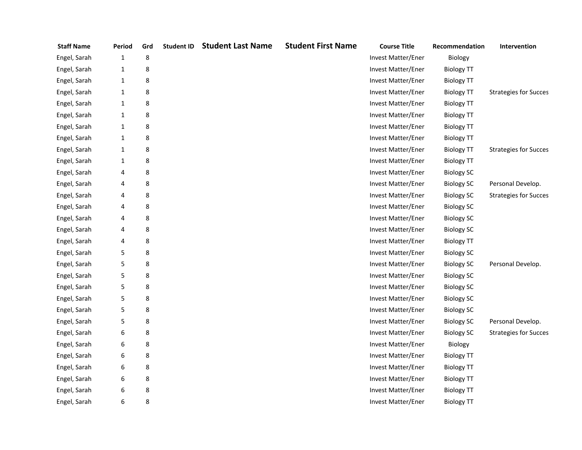| <b>Staff Name</b> | Period       | Grd | <b>Student ID</b> | <b>Student Last Name</b> | <b>Student First Name</b> | <b>Course Title</b>       | Recommendation    | Intervention                 |
|-------------------|--------------|-----|-------------------|--------------------------|---------------------------|---------------------------|-------------------|------------------------------|
| Engel, Sarah      | 1            | 8   |                   |                          |                           | Invest Matter/Ener        | Biology           |                              |
| Engel, Sarah      | $\mathbf{1}$ | 8   |                   |                          |                           | Invest Matter/Ener        | <b>Biology TT</b> |                              |
| Engel, Sarah      | $\mathbf{1}$ | 8   |                   |                          |                           | Invest Matter/Ener        | <b>Biology TT</b> |                              |
| Engel, Sarah      | $\mathbf{1}$ | 8   |                   |                          |                           | Invest Matter/Ener        | <b>Biology TT</b> | <b>Strategies for Succes</b> |
| Engel, Sarah      | $\mathbf{1}$ | 8   |                   |                          |                           | Invest Matter/Ener        | <b>Biology TT</b> |                              |
| Engel, Sarah      | $\mathbf{1}$ | 8   |                   |                          |                           | Invest Matter/Ener        | <b>Biology TT</b> |                              |
| Engel, Sarah      | $\mathbf{1}$ | 8   |                   |                          |                           | Invest Matter/Ener        | <b>Biology TT</b> |                              |
| Engel, Sarah      | $\mathbf{1}$ | 8   |                   |                          |                           | Invest Matter/Ener        | <b>Biology TT</b> |                              |
| Engel, Sarah      | $\mathbf{1}$ | 8   |                   |                          |                           | Invest Matter/Ener        | <b>Biology TT</b> | <b>Strategies for Succes</b> |
| Engel, Sarah      | $\mathbf{1}$ | 8   |                   |                          |                           | Invest Matter/Ener        | <b>Biology TT</b> |                              |
| Engel, Sarah      | 4            | 8   |                   |                          |                           | <b>Invest Matter/Ener</b> | <b>Biology SC</b> |                              |
| Engel, Sarah      | 4            | 8   |                   |                          |                           | Invest Matter/Ener        | <b>Biology SC</b> | Personal Develop.            |
| Engel, Sarah      | 4            | 8   |                   |                          |                           | Invest Matter/Ener        | <b>Biology SC</b> | <b>Strategies for Succes</b> |
| Engel, Sarah      | 4            | 8   |                   |                          |                           | Invest Matter/Ener        | <b>Biology SC</b> |                              |
| Engel, Sarah      | 4            | 8   |                   |                          |                           | Invest Matter/Ener        | <b>Biology SC</b> |                              |
| Engel, Sarah      | 4            | 8   |                   |                          |                           | Invest Matter/Ener        | <b>Biology SC</b> |                              |
| Engel, Sarah      | 4            | 8   |                   |                          |                           | Invest Matter/Ener        | <b>Biology TT</b> |                              |
| Engel, Sarah      | 5            | 8   |                   |                          |                           | Invest Matter/Ener        | <b>Biology SC</b> |                              |
| Engel, Sarah      | 5            | 8   |                   |                          |                           | Invest Matter/Ener        | <b>Biology SC</b> | Personal Develop.            |
| Engel, Sarah      | 5            | 8   |                   |                          |                           | Invest Matter/Ener        | <b>Biology SC</b> |                              |
| Engel, Sarah      | 5            | 8   |                   |                          |                           | Invest Matter/Ener        | <b>Biology SC</b> |                              |
| Engel, Sarah      | 5            | 8   |                   |                          |                           | Invest Matter/Ener        | <b>Biology SC</b> |                              |
| Engel, Sarah      | 5            | 8   |                   |                          |                           | Invest Matter/Ener        | <b>Biology SC</b> |                              |
| Engel, Sarah      | 5            | 8   |                   |                          |                           | Invest Matter/Ener        | <b>Biology SC</b> | Personal Develop.            |
| Engel, Sarah      | 6            | 8   |                   |                          |                           | Invest Matter/Ener        | <b>Biology SC</b> | <b>Strategies for Succes</b> |
| Engel, Sarah      | 6            | 8   |                   |                          |                           | Invest Matter/Ener        | Biology           |                              |
| Engel, Sarah      | 6            | 8   |                   |                          |                           | Invest Matter/Ener        | <b>Biology TT</b> |                              |
| Engel, Sarah      | 6            | 8   |                   |                          |                           | Invest Matter/Ener        | <b>Biology TT</b> |                              |
| Engel, Sarah      | 6            | 8   |                   |                          |                           | Invest Matter/Ener        | <b>Biology TT</b> |                              |
| Engel, Sarah      | 6            | 8   |                   |                          |                           | Invest Matter/Ener        | <b>Biology TT</b> |                              |
| Engel, Sarah      | 6            | 8   |                   |                          |                           | Invest Matter/Ener        | <b>Biology TT</b> |                              |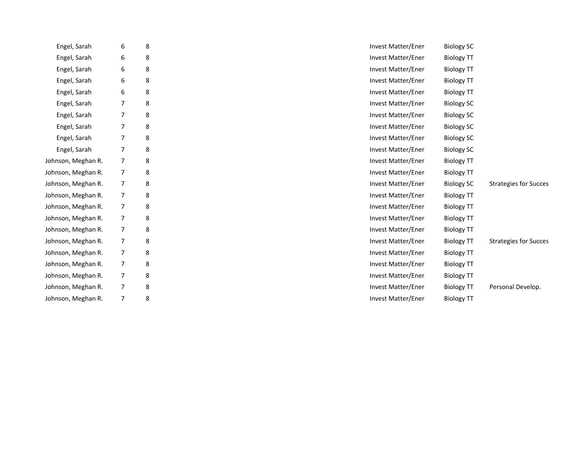| Engel, Sarah       | 6              | 8 | Invest Matter/Ener<br><b>Biology SC</b>                                        |
|--------------------|----------------|---|--------------------------------------------------------------------------------|
| Engel, Sarah       | 6              | 8 | <b>Invest Matter/Ener</b><br><b>Biology TT</b>                                 |
| Engel, Sarah       | 6              | 8 | <b>Invest Matter/Ener</b><br><b>Biology TT</b>                                 |
| Engel, Sarah       | 6              | 8 | <b>Invest Matter/Ener</b><br><b>Biology TT</b>                                 |
| Engel, Sarah       | 6              | 8 | <b>Invest Matter/Ener</b><br><b>Biology TT</b>                                 |
| Engel, Sarah       | 7              | 8 | Invest Matter/Ener<br><b>Biology SC</b>                                        |
| Engel, Sarah       | 7              | 8 | Invest Matter/Ener<br><b>Biology SC</b>                                        |
| Engel, Sarah       | 7              | 8 | <b>Invest Matter/Ener</b><br><b>Biology SC</b>                                 |
| Engel, Sarah       | 7              | 8 | Invest Matter/Ener<br><b>Biology SC</b>                                        |
| Engel, Sarah       | 7              | 8 | <b>Invest Matter/Ener</b><br><b>Biology SC</b>                                 |
| Johnson, Meghan R. | 7              | 8 | Invest Matter/Ener<br><b>Biology TT</b>                                        |
| Johnson, Meghan R. | 7              | 8 | Invest Matter/Ener<br><b>Biology TT</b>                                        |
| Johnson, Meghan R. | $\overline{7}$ | 8 | <b>Invest Matter/Ener</b><br><b>Biology SC</b><br><b>Strategies for Succes</b> |
| Johnson, Meghan R. | 7              | 8 | Invest Matter/Ener<br><b>Biology TT</b>                                        |
| Johnson, Meghan R. | 7              | 8 | Invest Matter/Ener<br><b>Biology TT</b>                                        |
| Johnson, Meghan R. | $\overline{7}$ | 8 | <b>Invest Matter/Ener</b><br><b>Biology TT</b>                                 |
| Johnson, Meghan R. | $\overline{7}$ | 8 | Invest Matter/Ener<br><b>Biology TT</b>                                        |
| Johnson, Meghan R. | 7              | 8 | Invest Matter/Ener<br><b>Biology TT</b><br><b>Strategies for Succes</b>        |
| Johnson, Meghan R. | 7              | 8 | Invest Matter/Ener<br><b>Biology TT</b>                                        |
| Johnson, Meghan R. | $\overline{7}$ | 8 | <b>Invest Matter/Ener</b><br><b>Biology TT</b>                                 |
| Johnson, Meghan R. | $\overline{7}$ | 8 | Invest Matter/Ener<br><b>Biology TT</b>                                        |
| Johnson, Meghan R. | 7              | 8 | <b>Invest Matter/Ener</b><br>Personal Develop.<br><b>Biology TT</b>            |
| Johnson, Meghan R. | $\overline{7}$ | 8 | Invest Matter/Ener<br><b>Biology TT</b>                                        |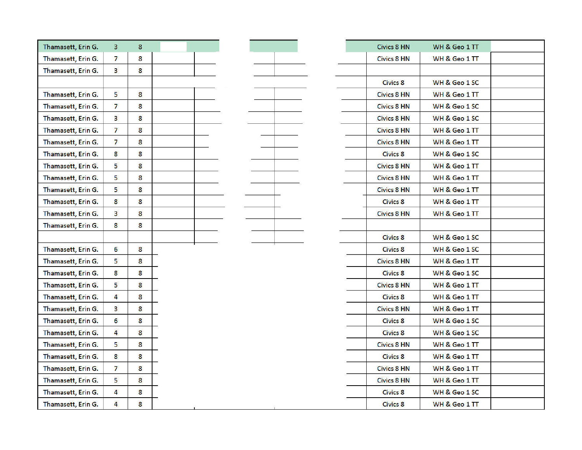| Thamasett, Erin G. | 3                       | 8 |  |  |  |
|--------------------|-------------------------|---|--|--|--|
| Thamasett, Erin G. | 7                       | 8 |  |  |  |
| Thamasett, Erin G. | 3                       | 8 |  |  |  |
|                    |                         |   |  |  |  |
| Thamasett, Erin G. | 5                       | 8 |  |  |  |
| Thamasett, Erin G. | 7                       | 8 |  |  |  |
| Thamasett, Erin G. | 3                       | 8 |  |  |  |
| Thamasett, Erin G. | 7                       | 8 |  |  |  |
| Thamasett, Erin G. | 7                       | 8 |  |  |  |
| Thamasett, Erin G. | 8                       | 8 |  |  |  |
| Thamasett, Erin G. | 5                       | 8 |  |  |  |
| Thamasett, Erin G. | 5                       | 8 |  |  |  |
| Thamasett, Erin G. | 5                       | 8 |  |  |  |
| Thamasett, Erin G. | 8                       | 8 |  |  |  |
| Thamasett, Erin G. | 3                       | 8 |  |  |  |
| Thamasett, Erin G. | 8                       | 8 |  |  |  |
|                    |                         |   |  |  |  |
| Thamasett, Erin G. | 6                       | 8 |  |  |  |
| Thamasett, Erin G. | 5                       | 8 |  |  |  |
| Thamasett, Erin G. | 8                       | 8 |  |  |  |
| Thamasett, Erin G. | 5                       | 8 |  |  |  |
| Thamasett, Erin G. | 4                       | 8 |  |  |  |
| Thamasett, Erin G. | 3                       | 8 |  |  |  |
| Thamasett, Erin G. | 6                       | 8 |  |  |  |
| Thamasett, Erin G. | 4                       | 8 |  |  |  |
| Thamasett, Erin G. | 5                       | 8 |  |  |  |
| Thamasett, Erin G. | 8                       | 8 |  |  |  |
| Thamasett, Erin G. | 7                       | 8 |  |  |  |
| Thamasett, Erin G. | 5                       | 8 |  |  |  |
| Thamasett, Erin G. | 4                       | 8 |  |  |  |
| Thamasett, Erin G. | $\overline{\mathbf{4}}$ | 8 |  |  |  |

| <b>Civics 8 HN</b> | WH & Geo 1 TT |  |
|--------------------|---------------|--|
| <b>Civics 8 HN</b> | WH & Geo 1 TT |  |
|                    |               |  |
| <b>Civics 8</b>    | WH & Geo 1 SC |  |
| <b>Civics 8 HN</b> | WH & Geo 1 TT |  |
| <b>Civics 8 HN</b> | WH & Geo 1 SC |  |
| <b>Civics 8 HN</b> | WH & Geo 1 SC |  |
| <b>Civics 8 HN</b> | WH & Geo 1 TT |  |
| <b>Civics 8 HN</b> | WH & Geo 1 TT |  |
| <b>Civics 8</b>    | WH & Geo 1 SC |  |
| <b>Civics 8 HN</b> | WH & Geo 1 TT |  |
| <b>Civics 8 HN</b> | WH & Geo 1 TT |  |
| <b>Civics 8 HN</b> | WH & Geo 1 TT |  |
| <b>Civics 8</b>    | WH & Geo 1 TT |  |
| <b>Civics 8 HN</b> | WH & Geo 1 TT |  |
|                    |               |  |
| <b>Civics 8</b>    | WH & Geo 1 SC |  |
| Civics 8           | WH & Geo 1 SC |  |
| <b>Civics 8 HN</b> | WH & Geo 1 TT |  |
| Civics 8           | WH & Geo 1 SC |  |
| <b>Civics 8 HN</b> | WH & Geo 1 TT |  |
| Civics 8           | WH & Geo 1 TT |  |
| <b>Civics 8 HN</b> | WH & Geo 1 TT |  |
| <b>Civics 8</b>    | WH & Geo 1 SC |  |
| <b>Civics 8</b>    | WH & Geo 1 SC |  |
| <b>Civics 8 HN</b> | WH & Geo 1 TT |  |
| <b>Civics 8</b>    | WH & Geo 1 TT |  |
| <b>Civics 8 HN</b> | WH & Geo 1 TT |  |
| <b>Civics 8 HN</b> | WH & Geo 1 TT |  |
| <b>Civics 8</b>    | WH & Geo 1 SC |  |
| <b>Civics 8</b>    | WH & Geo 1 TT |  |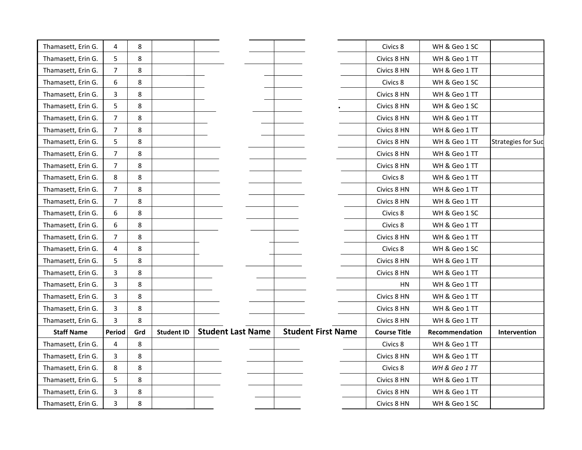| Thamasett, Erin G. | 4              | 8   |                   |                          |                           | Civics 8            | WH & Geo 1 SC  |                           |
|--------------------|----------------|-----|-------------------|--------------------------|---------------------------|---------------------|----------------|---------------------------|
| Thamasett, Erin G. | 5              | 8   |                   |                          |                           | Civics 8 HN         | WH & Geo 1 TT  |                           |
| Thamasett, Erin G. | $\overline{7}$ | 8   |                   |                          |                           | Civics 8 HN         | WH & Geo 1 TT  |                           |
| Thamasett, Erin G. | 6              | 8   |                   |                          |                           | Civics 8            | WH & Geo 1 SC  |                           |
| Thamasett, Erin G. | 3              | 8   |                   |                          |                           | Civics 8 HN         | WH & Geo 1 TT  |                           |
| Thamasett, Erin G. | 5              | 8   |                   |                          |                           | Civics 8 HN         | WH & Geo 1 SC  |                           |
| Thamasett, Erin G. | $\overline{7}$ | 8   |                   |                          |                           | Civics 8 HN         | WH & Geo 1 TT  |                           |
| Thamasett, Erin G. | 7              | 8   |                   |                          |                           | Civics 8 HN         | WH & Geo 1 TT  |                           |
| Thamasett, Erin G. | 5              | 8   |                   |                          |                           | Civics 8 HN         | WH & Geo 1 TT  | <b>Strategies for Suc</b> |
| Thamasett, Erin G. | 7              | 8   |                   |                          |                           | Civics 8 HN         | WH & Geo 1 TT  |                           |
| Thamasett, Erin G. | $\overline{7}$ | 8   |                   |                          |                           | Civics 8 HN         | WH & Geo 1 TT  |                           |
| Thamasett, Erin G. | 8              | 8   |                   |                          |                           | Civics 8            | WH & Geo 1 TT  |                           |
| Thamasett, Erin G. | $\overline{7}$ | 8   |                   |                          |                           | Civics 8 HN         | WH & Geo 1 TT  |                           |
| Thamasett, Erin G. | 7              | 8   |                   |                          |                           | Civics 8 HN         | WH & Geo 1 TT  |                           |
| Thamasett, Erin G. | 6              | 8   |                   |                          |                           | Civics 8            | WH & Geo 1 SC  |                           |
| Thamasett, Erin G. | 6              | 8   |                   |                          |                           | Civics 8            | WH & Geo 1 TT  |                           |
| Thamasett, Erin G. | $\overline{7}$ | 8   |                   |                          |                           | Civics 8 HN         | WH & Geo 1 TT  |                           |
| Thamasett, Erin G. | 4              | 8   |                   |                          |                           | Civics 8            | WH & Geo 1 SC  |                           |
| Thamasett, Erin G. | 5              | 8   |                   |                          |                           | Civics 8 HN         | WH & Geo 1 TT  |                           |
| Thamasett, Erin G. | 3              | 8   |                   |                          |                           | Civics 8 HN         | WH & Geo 1 TT  |                           |
| Thamasett, Erin G. | 3              | 8   |                   |                          |                           | HN                  | WH & Geo 1 TT  |                           |
| Thamasett, Erin G. | 3              | 8   |                   |                          |                           | Civics 8 HN         | WH & Geo 1 TT  |                           |
| Thamasett, Erin G. | 3              | 8   |                   |                          |                           | Civics 8 HN         | WH & Geo 1 TT  |                           |
| Thamasett, Erin G. | 3              | 8   |                   |                          |                           | Civics 8 HN         | WH & Geo 1 TT  |                           |
| <b>Staff Name</b>  | <b>Period</b>  | Grd | <b>Student ID</b> | <b>Student Last Name</b> | <b>Student First Name</b> | <b>Course Title</b> | Recommendation | Intervention              |
| Thamasett, Erin G. | 4              | 8   |                   |                          |                           | Civics 8            | WH & Geo 1 TT  |                           |
| Thamasett, Erin G. | 3              | 8   |                   |                          |                           | Civics 8 HN         | WH & Geo 1 TT  |                           |
| Thamasett, Erin G. | 8              | 8   |                   |                          |                           | Civics 8            | WH & Geo 1 TT  |                           |
| Thamasett, Erin G. | 5              | 8   |                   |                          |                           | Civics 8 HN         | WH & Geo 1 TT  |                           |
| Thamasett, Erin G. | 3              | 8   |                   |                          |                           | Civics 8 HN         | WH & Geo 1 TT  |                           |
| Thamasett, Erin G. | 3              | 8   |                   |                          |                           | Civics 8 HN         | WH & Geo 1 SC  |                           |